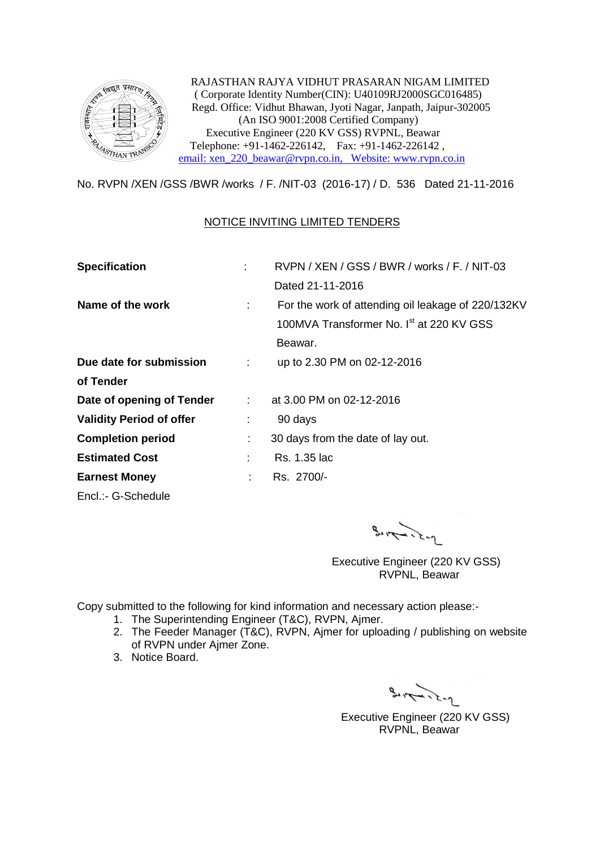

 RAJASTHAN RAJYA VIDHUT PRASARAN NIGAM LIMITED ( Corporate Identity Number(CIN): U40109RJ2000SGC016485) Regd. Office: Vidhut Bhawan, Jyoti Nagar, Janpath, Jaipur-302005 (An ISO 9001:2008 Certified Company) Executive Engineer (220 KV GSS) RVPNL, Beawar Telephone: +91-1462-226142, Fax: +91-1462-226142 , [email: xen\\_220\\_beawar@rvpn.co.in, Website: www.rvpn.co.in](mailto:email:%20xen_220_beawar@rvpn.co.in,%20%20%20Website:%20www.rvpn.co.in)

No. RVPN /XEN /GSS /BWR /works / F. /NIT-03 (2016-17) / D. 536 Dated 21-11-2016

## NOTICE INVITING LIMITED TENDERS

| <b>Specification</b>            |                          | RVPN / XEN / GSS / BWR / works / F. / NIT-03         |  |  |
|---------------------------------|--------------------------|------------------------------------------------------|--|--|
|                                 |                          | Dated 21-11-2016                                     |  |  |
| Name of the work                | ÷                        | For the work of attending oil leakage of 220/132KV   |  |  |
|                                 |                          | 100MVA Transformer No. I <sup>st</sup> at 220 KV GSS |  |  |
|                                 |                          | Beawar.                                              |  |  |
| Due date for submission         | i i s                    | up to 2.30 PM on 02-12-2016                          |  |  |
| of Tender                       |                          |                                                      |  |  |
| Date of opening of Tender       | $\mathcal{L}_{\rm{max}}$ | at 3.00 PM on 02-12-2016                             |  |  |
| <b>Validity Period of offer</b> | ÷                        | 90 days                                              |  |  |
| <b>Completion period</b>        | ÷.                       | 30 days from the date of lay out.                    |  |  |
| <b>Estimated Cost</b>           | t.                       | Rs. 1.35 lac                                         |  |  |
| <b>Earnest Money</b>            | ÷                        | Rs. 2700/-                                           |  |  |
| Encl.:- G-Schedule              |                          |                                                      |  |  |

 $3.172.2 - 1$ 

 Executive Engineer (220 KV GSS) RVPNL, Beawar

Copy submitted to the following for kind information and necessary action please:-

- 1. The Superintending Engineer (T&C), RVPN, Ajmer.
- 2. The Feeder Manager (T&C), RVPN, Ajmer for uploading / publishing on website of RVPN under Ajmer Zone.
- 3. Notice Board.

 $3.17 - 22 - 12$ 

 Executive Engineer (220 KV GSS) RVPNL, Beawar